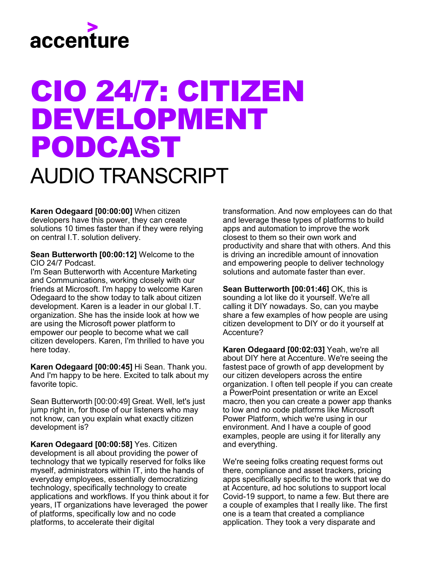

## CIO 24/7: CITIZEN DEVELOPMENT PODCAST AUDIO TRANSCRIPT

**Karen Odegaard [00:00:00]** When citizen developers have this power, they can create solutions 10 times faster than if they were relying on central I.T. solution delivery.

**Sean Butterworth [00:00:12]** Welcome to the CIO 24/7 Podcast.

I'm Sean Butterworth with Accenture Marketing and Communications, working closely with our friends at Microsoft. I'm happy to welcome Karen Odegaard to the show today to talk about citizen development. Karen is a leader in our global I.T. organization. She has the inside look at how we are using the Microsoft power platform to empower our people to become what we call citizen developers. Karen, I'm thrilled to have you here today.

**Karen Odegaard [00:00:45]** Hi Sean. Thank you. And I'm happy to be here. Excited to talk about my favorite topic.

Sean Butterworth [00:00:49] Great. Well, let's just jump right in, for those of our listeners who may not know, can you explain what exactly citizen development is?

**Karen Odegaard [00:00:58]** Yes. Citizen development is all about providing the power of technology that we typically reserved for folks like myself, administrators within IT, into the hands of everyday employees, essentially democratizing technology, specifically technology to create applications and workflows. If you think about it for years, IT organizations have leveraged the power of platforms, specifically low and no code platforms, to accelerate their digital

transformation. And now employees can do that and leverage these types of platforms to build apps and automation to improve the work closest to them so their own work and productivity and share that with others. And this is driving an incredible amount of innovation and empowering people to deliver technology solutions and automate faster than ever.

**Sean Butterworth [00:01:46]** OK, this is sounding a lot like do it yourself. We're all calling it DIY nowadays. So, can you maybe share a few examples of how people are using citizen development to DIY or do it yourself at Accenture?

**Karen Odegaard [00:02:03]** Yeah, we're all about DIY here at Accenture. We're seeing the fastest pace of growth of app development by our citizen developers across the entire organization. I often tell people if you can create a PowerPoint presentation or write an Excel macro, then you can create a power app thanks to low and no code platforms like Microsoft Power Platform, which we're using in our environment. And I have a couple of good examples, people are using it for literally any and everything.

We're seeing folks creating request forms out there, compliance and asset trackers, pricing apps specifically specific to the work that we do at Accenture, ad hoc solutions to support local Covid-19 support, to name a few. But there are a couple of examples that I really like. The first one is a team that created a compliance application. They took a very disparate and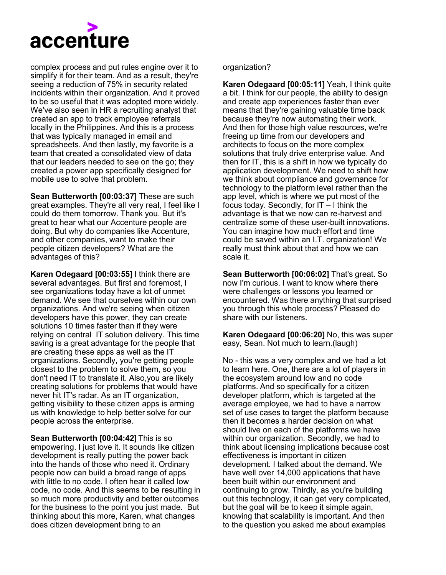

complex process and put rules engine over it to simplify it for their team. And as a result, they're seeing a reduction of 75% in security related incidents within their organization. And it proved to be so useful that it was adopted more widely. We've also seen in HR a recruiting analyst that created an app to track employee referrals locally in the Philippines. And this is a process that was typically managed in email and spreadsheets. And then lastly, my favorite is a team that created a consolidated view of data that our leaders needed to see on the go; they created a power app specifically designed for mobile use to solve that problem.

**Sean Butterworth [00:03:37]** These are such great examples. They're all very reaI, I feel like I could do them tomorrow. Thank you. But it's great to hear what our Accenture people are doing. But why do companies like Accenture, and other companies, want to make their people citizen developers? What are the advantages of this?

**Karen Odegaard [00:03:55]** I think there are several advantages. But first and foremost, I see organizations today have a lot of unmet demand. We see that ourselves within our own organizations. And we're seeing when citizen developers have this power, they can create solutions 10 times faster than if they were relying on central IT solution delivery. This time saving is a great advantage for the people that are creating these apps as well as the IT organizations. Secondly, you're getting people closest to the problem to solve them, so you don't need IT to translate it. Also,you are likely creating solutions for problems that would have never hit IT's radar. As an IT organization, getting visibility to these citizen apps is arming us with knowledge to help better solve for our people across the enterprise.

**Sean Butterworth [00:04:42**] This is so empowering. I just love it. It sounds like citizen development is really putting the power back into the hands of those who need it. Ordinary people now can build a broad range of apps with little to no code. I often hear it called low code, no code. And this seems to be resulting in so much more productivity and better outcomes for the business to the point you just made. But thinking about this more, Karen, what changes does citizen development bring to an

## organization?

**Karen Odegaard [00:05:11]** Yeah, I think quite a bit. I think for our people, the ability to design and create app experiences faster than ever means that they're gaining valuable time back because they're now automating their work. And then for those high value resources, we're freeing up time from our developers and architects to focus on the more complex solutions that truly drive enterprise value. And then for IT, this is a shift in how we typically do application development. We need to shift how we think about compliance and governance for technology to the platform level rather than the app level, which is where we put most of the focus today. Secondly, for IT – I think the advantage is that we now can re-harvest and centralize some of these user-built innovations. You can imagine how much effort and time could be saved within an I.T. organization! We really must think about that and how we can scale it.

**Sean Butterworth [00:06:02]** That's great. So now I'm curious. I want to know where there were challenges or lessons you learned or encountered. Was there anything that surprised you through this whole process? Pleased do share with our listeners.

**Karen Odegaard [00:06:20]** No, this was super easy, Sean. Not much to learn.(laugh)

No - this was a very complex and we had a lot to learn here. One, there are a lot of players in the ecosystem around low and no code platforms. And so specifically for a citizen developer platform, which is targeted at the average employee, we had to have a narrow set of use cases to target the platform because then it becomes a harder decision on what should live on each of the platforms we have within our organization. Secondly, we had to think about licensing implications because cost effectiveness is important in citizen development. I talked about the demand. We have well over 14,000 applications that have been built within our environment and continuing to grow. Thirdly, as you're building out this technology, it can get very complicated, but the goal will be to keep it simple again, knowing that scalability is important. And then to the question you asked me about examples